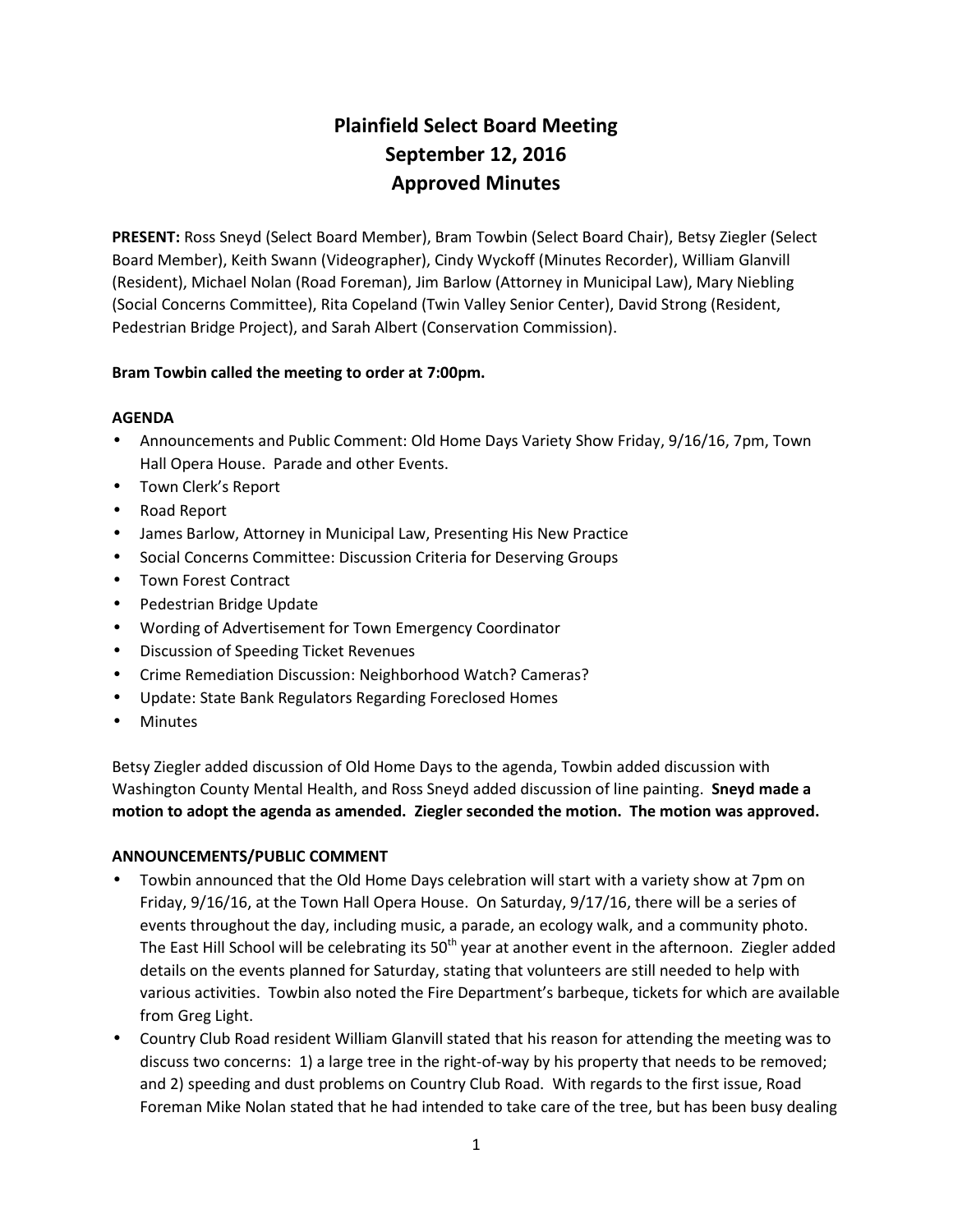# **Plainfield Select Board Meeting September 12, 2016 Approved Minutes**

**PRESENT:** Ross Sneyd (Select Board Member), Bram Towbin (Select Board Chair), Betsy Ziegler (Select Board Member), Keith Swann (Videographer), Cindy Wyckoff (Minutes Recorder), William Glanvill (Resident), Michael Nolan (Road Foreman), Jim Barlow (Attorney in Municipal Law), Mary Niebling (Social Concerns Committee), Rita Copeland (Twin Valley Senior Center), David Strong (Resident, Pedestrian Bridge Project), and Sarah Albert (Conservation Commission).

## **Bram Towbin called the meeting to order at 7:00pm.**

## **AGENDA**

- Announcements and Public Comment: Old Home Days Variety Show Friday, 9/16/16, 7pm, Town Hall Opera House. Parade and other Events.
- Town Clerk's Report
- Road Report
- James Barlow, Attorney in Municipal Law, Presenting His New Practice
- Social Concerns Committee: Discussion Criteria for Deserving Groups
- Town Forest Contract
- Pedestrian Bridge Update
- Wording of Advertisement for Town Emergency Coordinator
- Discussion of Speeding Ticket Revenues
- Crime Remediation Discussion: Neighborhood Watch? Cameras?
- Update: State Bank Regulators Regarding Foreclosed Homes
- Minutes

Betsy Ziegler added discussion of Old Home Days to the agenda, Towbin added discussion with Washington County Mental Health, and Ross Sneyd added discussion of line painting. **Sneyd made a motion to adopt the agenda as amended. Ziegler seconded the motion. The motion was approved.**

#### **ANNOUNCEMENTS/PUBLIC COMMENT**

- Towbin announced that the Old Home Days celebration will start with a variety show at 7pm on Friday, 9/16/16, at the Town Hall Opera House. On Saturday, 9/17/16, there will be a series of events throughout the day, including music, a parade, an ecology walk, and a community photo. The East Hill School will be celebrating its  $50<sup>th</sup>$  year at another event in the afternoon. Ziegler added details on the events planned for Saturday, stating that volunteers are still needed to help with various activities. Towbin also noted the Fire Department's barbeque, tickets for which are available from Greg Light.
- Country Club Road resident William Glanvill stated that his reason for attending the meeting was to discuss two concerns: 1) a large tree in the right-of-way by his property that needs to be removed; and 2) speeding and dust problems on Country Club Road. With regards to the first issue, Road Foreman Mike Nolan stated that he had intended to take care of the tree, but has been busy dealing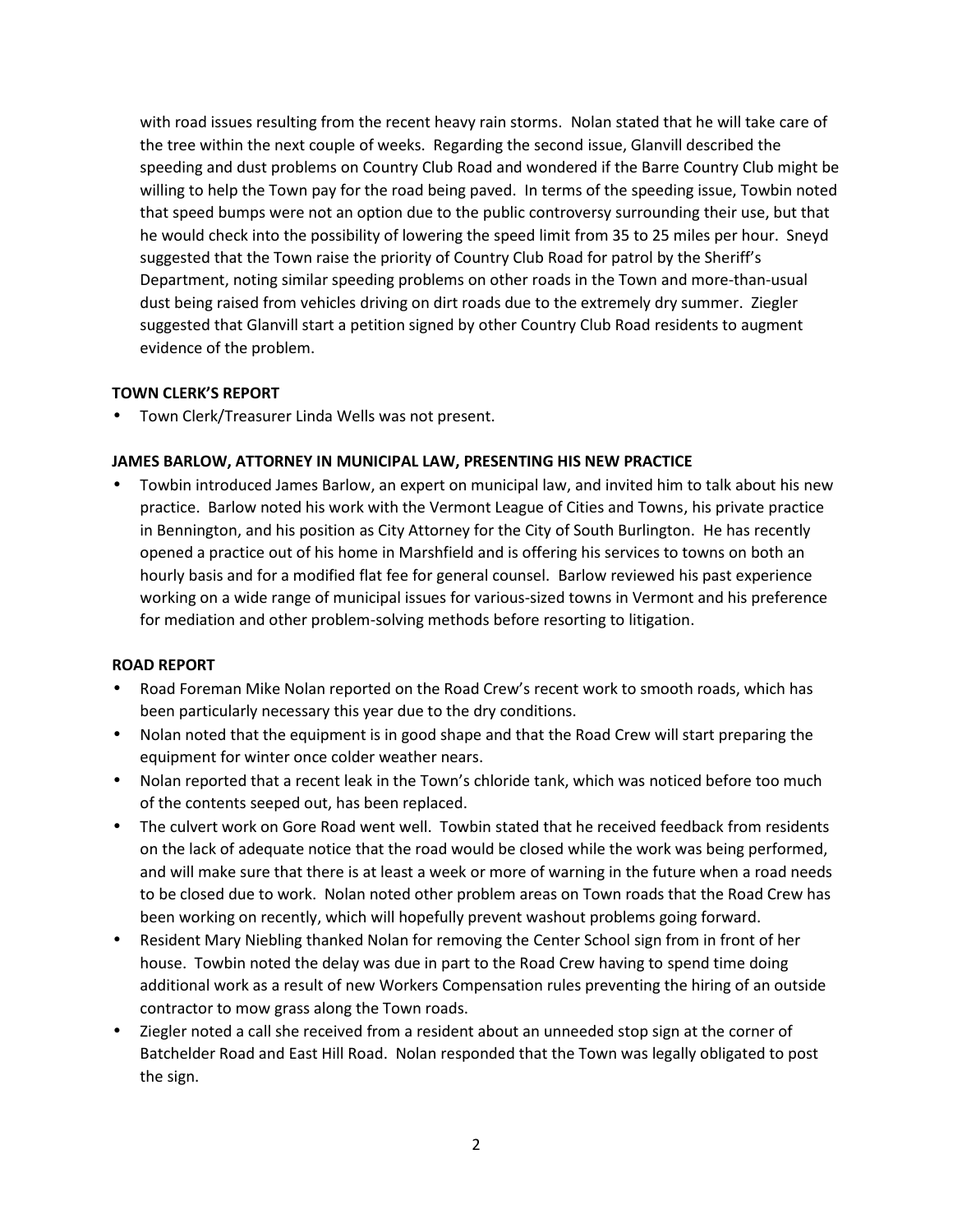with road issues resulting from the recent heavy rain storms. Nolan stated that he will take care of the tree within the next couple of weeks. Regarding the second issue, Glanvill described the speeding and dust problems on Country Club Road and wondered if the Barre Country Club might be willing to help the Town pay for the road being paved. In terms of the speeding issue, Towbin noted that speed bumps were not an option due to the public controversy surrounding their use, but that he would check into the possibility of lowering the speed limit from 35 to 25 miles per hour. Sneyd suggested that the Town raise the priority of Country Club Road for patrol by the Sheriff's Department, noting similar speeding problems on other roads in the Town and more-than-usual dust being raised from vehicles driving on dirt roads due to the extremely dry summer. Ziegler suggested that Glanvill start a petition signed by other Country Club Road residents to augment evidence of the problem.

#### **TOWN CLERK'S REPORT**

Town Clerk/Treasurer Linda Wells was not present.

## **JAMES BARLOW, ATTORNEY IN MUNICIPAL LAW, PRESENTING HIS NEW PRACTICE**

 Towbin introduced James Barlow, an expert on municipal law, and invited him to talk about his new practice. Barlow noted his work with the Vermont League of Cities and Towns, his private practice in Bennington, and his position as City Attorney for the City of South Burlington. He has recently opened a practice out of his home in Marshfield and is offering his services to towns on both an hourly basis and for a modified flat fee for general counsel. Barlow reviewed his past experience working on a wide range of municipal issues for various-sized towns in Vermont and his preference for mediation and other problem-solving methods before resorting to litigation.

#### **ROAD REPORT**

- Road Foreman Mike Nolan reported on the Road Crew's recent work to smooth roads, which has been particularly necessary this year due to the dry conditions.
- Nolan noted that the equipment is in good shape and that the Road Crew will start preparing the equipment for winter once colder weather nears.
- Nolan reported that a recent leak in the Town's chloride tank, which was noticed before too much of the contents seeped out, has been replaced.
- The culvert work on Gore Road went well. Towbin stated that he received feedback from residents on the lack of adequate notice that the road would be closed while the work was being performed, and will make sure that there is at least a week or more of warning in the future when a road needs to be closed due to work. Nolan noted other problem areas on Town roads that the Road Crew has been working on recently, which will hopefully prevent washout problems going forward.
- Resident Mary Niebling thanked Nolan for removing the Center School sign from in front of her house. Towbin noted the delay was due in part to the Road Crew having to spend time doing additional work as a result of new Workers Compensation rules preventing the hiring of an outside contractor to mow grass along the Town roads.
- Ziegler noted a call she received from a resident about an unneeded stop sign at the corner of Batchelder Road and East Hill Road. Nolan responded that the Town was legally obligated to post the sign.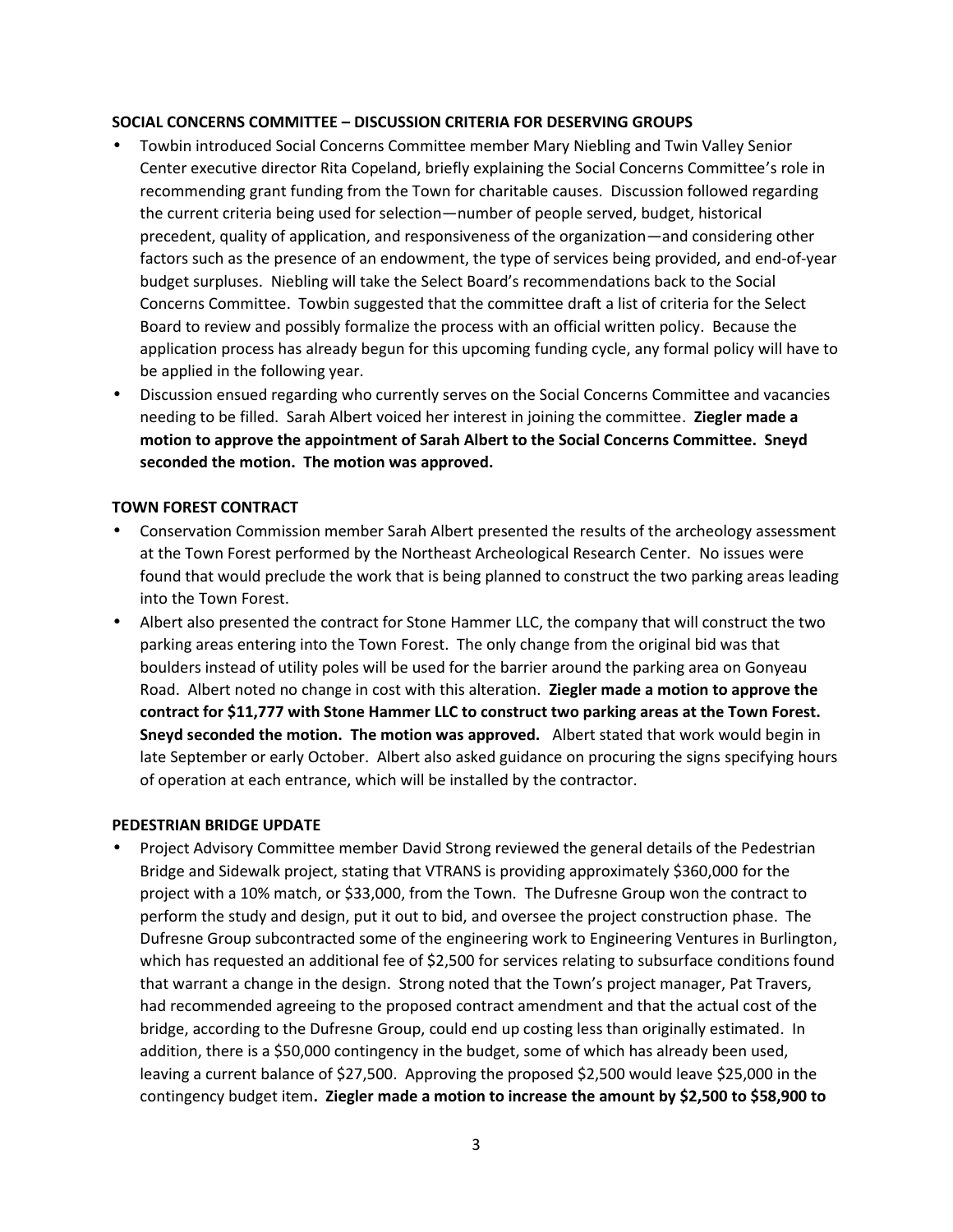#### **SOCIAL CONCERNS COMMITTEE – DISCUSSION CRITERIA FOR DESERVING GROUPS**

- Towbin introduced Social Concerns Committee member Mary Niebling and Twin Valley Senior Center executive director Rita Copeland, briefly explaining the Social Concerns Committee's role in recommending grant funding from the Town for charitable causes. Discussion followed regarding the current criteria being used for selection—number of people served, budget, historical precedent, quality of application, and responsiveness of the organization—and considering other factors such as the presence of an endowment, the type of services being provided, and end-of-year budget surpluses. Niebling will take the Select Board's recommendations back to the Social Concerns Committee. Towbin suggested that the committee draft a list of criteria for the Select Board to review and possibly formalize the process with an official written policy. Because the application process has already begun for this upcoming funding cycle, any formal policy will have to be applied in the following year.
- Discussion ensued regarding who currently serves on the Social Concerns Committee and vacancies needing to be filled. Sarah Albert voiced her interest in joining the committee. **Ziegler made a motion to approve the appointment of Sarah Albert to the Social Concerns Committee. Sneyd seconded the motion. The motion was approved.**

#### **TOWN FOREST CONTRACT**

- Conservation Commission member Sarah Albert presented the results of the archeology assessment at the Town Forest performed by the Northeast Archeological Research Center. No issues were found that would preclude the work that is being planned to construct the two parking areas leading into the Town Forest.
- Albert also presented the contract for Stone Hammer LLC, the company that will construct the two parking areas entering into the Town Forest. The only change from the original bid was that boulders instead of utility poles will be used for the barrier around the parking area on Gonyeau Road. Albert noted no change in cost with this alteration. **Ziegler made a motion to approve the contract for \$11,777 with Stone Hammer LLC to construct two parking areas at the Town Forest. Sneyd seconded the motion. The motion was approved.** Albert stated that work would begin in late September or early October. Albert also asked guidance on procuring the signs specifying hours of operation at each entrance, which will be installed by the contractor.

#### **PEDESTRIAN BRIDGE UPDATE**

 Project Advisory Committee member David Strong reviewed the general details of the Pedestrian Bridge and Sidewalk project, stating that VTRANS is providing approximately \$360,000 for the project with a 10% match, or \$33,000, from the Town. The Dufresne Group won the contract to perform the study and design, put it out to bid, and oversee the project construction phase. The Dufresne Group subcontracted some of the engineering work to Engineering Ventures in Burlington, which has requested an additional fee of \$2,500 for services relating to subsurface conditions found that warrant a change in the design. Strong noted that the Town's project manager, Pat Travers, had recommended agreeing to the proposed contract amendment and that the actual cost of the bridge, according to the Dufresne Group, could end up costing less than originally estimated. In addition, there is a \$50,000 contingency in the budget, some of which has already been used, leaving a current balance of \$27,500. Approving the proposed \$2,500 would leave \$25,000 in the contingency budget item**. Ziegler made a motion to increase the amount by \$2,500 to \$58,900 to**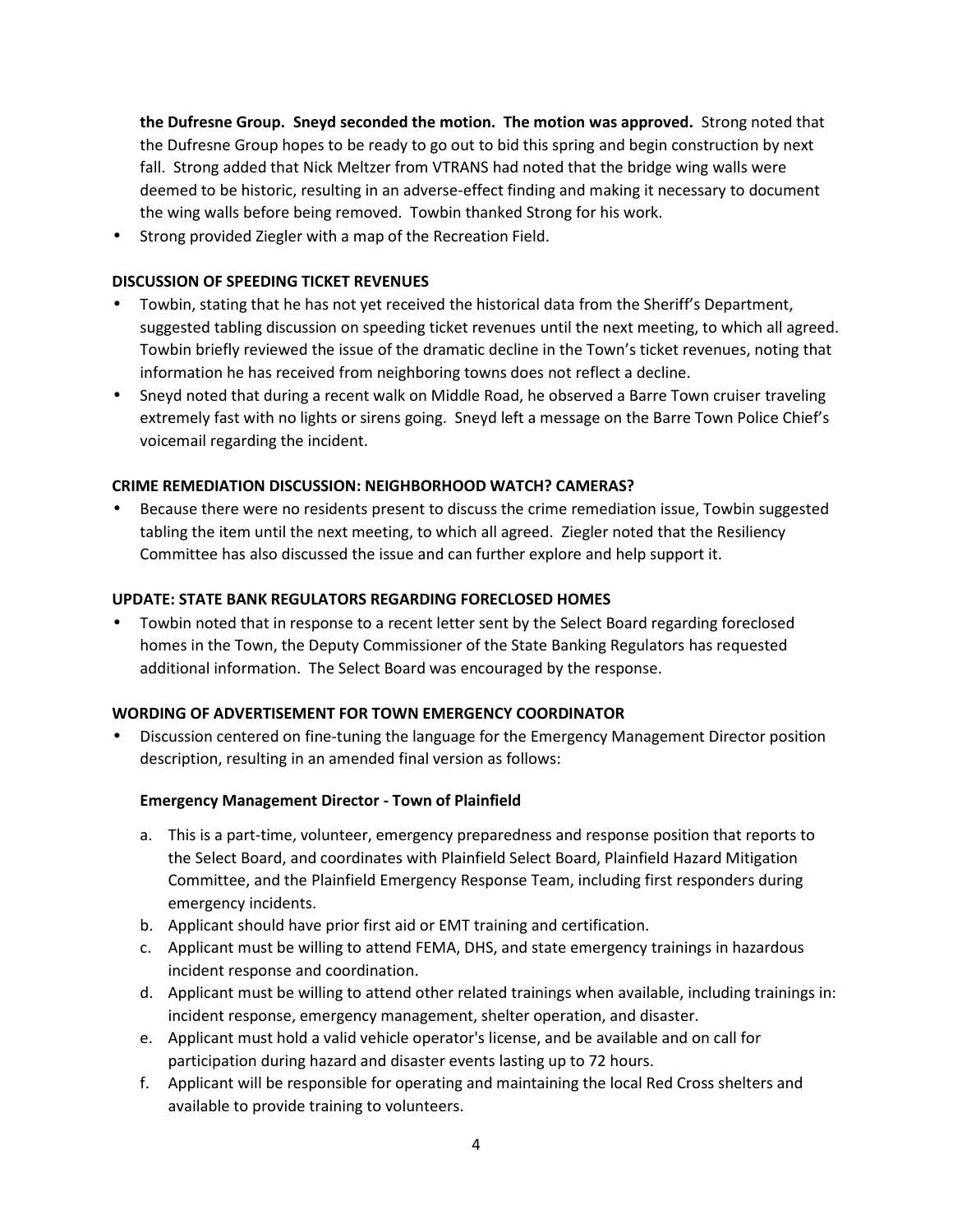**the Dufresne Group. Sneyd seconded the motion. The motion was approved.** Strong noted that the Dufresne Group hopes to be ready to go out to bid this spring and begin construction by next fall. Strong added that Nick Meltzer from VTRANS had noted that the bridge wing walls were deemed to be historic, resulting in an adverse-effect finding and making it necessary to document the wing walls before being removed. Towbin thanked Strong for his work.

Strong provided Ziegler with a map of the Recreation Field.

#### **DISCUSSION OF SPEEDING TICKET REVENUES**

- Towbin, stating that he has not yet received the historical data from the Sheriff's Department, suggested tabling discussion on speeding ticket revenues until the next meeting, to which all agreed. Towbin briefly reviewed the issue of the dramatic decline in the Town's ticket revenues, noting that information he has received from neighboring towns does not reflect a decline.
- Sneyd noted that during a recent walk on Middle Road, he observed a Barre Town cruiser traveling extremely fast with no lights or sirens going. Sneyd left a message on the Barre Town Police Chief's voicemail regarding the incident.

#### **CRIME REMEDIATION DISCUSSION: NEIGHBORHOOD WATCH? CAMERAS?**

 Because there were no residents present to discuss the crime remediation issue, Towbin suggested tabling the item until the next meeting, to which all agreed. Ziegler noted that the Resiliency Committee has also discussed the issue and can further explore and help support it.

#### **UPDATE: STATE BANK REGULATORS REGARDING FORECLOSED HOMES**

 Towbin noted that in response to a recent letter sent by the Select Board regarding foreclosed homes in the Town, the Deputy Commissioner of the State Banking Regulators has requested additional information. The Select Board was encouraged by the response.

#### **WORDING OF ADVERTISEMENT FOR TOWN EMERGENCY COORDINATOR**

 Discussion centered on fine-tuning the language for the Emergency Management Director position description, resulting in an amended final version as follows:

#### **Emergency Management Director - Town of Plainfield**

- a. This is a part-time, volunteer, emergency preparedness and response position that reports to the Select Board, and coordinates with Plainfield Select Board, Plainfield Hazard Mitigation Committee, and the Plainfield Emergency Response Team, including first responders during emergency incidents.
- b. Applicant should have prior first aid or EMT training and certification.
- c. Applicant must be willing to attend FEMA, DHS, and state emergency trainings in hazardous incident response and coordination.
- d. Applicant must be willing to attend other related trainings when available, including trainings in: incident response, emergency management, shelter operation, and disaster.
- e. Applicant must hold a valid vehicle operator's license, and be available and on call for participation during hazard and disaster events lasting up to 72 hours.
- f. Applicant will be responsible for operating and maintaining the local Red Cross shelters and available to provide training to volunteers.